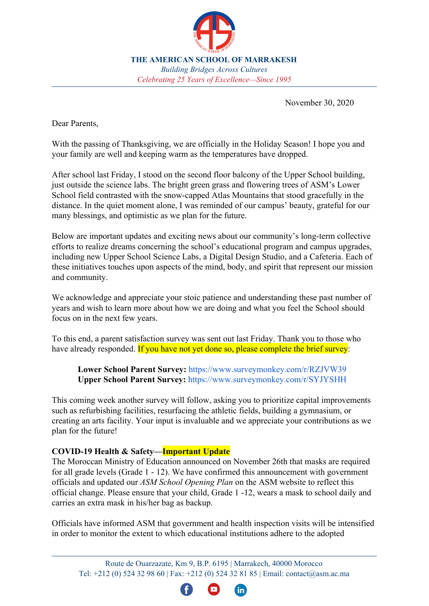

November 30, 2020

Dear Parents,

With the passing of Thanksgiving, we are officially in the Holiday Season! I hope you and your family are well and keeping warm as the temperatures have dropped.

After school last Friday, I stood on the second floor balcony of the Upper School building, just outside the science labs. The bright green grass and flowering trees of ASM's Lower School field contrasted with the snow-capped Atlas Mountains that stood gracefully in the distance. In the quiet moment alone, I was reminded of our campus' beauty, grateful for our many blessings, and optimistic as we plan for the future.

Below are important updates and exciting news about our community's long-term collective efforts to realize dreams concerning the school's educational program and campus upgrades, including new Upper School Science Labs, a Digital Design Studio, and a Cafeteria. Each of these initiatives touches upon aspects of the mind, body, and spirit that represent our mission and community.

We acknowledge and appreciate your stoic patience and understanding these past number of years and wish to learn more about how we are doing and what you feel the School should focus on in the next few years.

To this end, a parent satisfaction survey was sent out last Friday. Thank you to those who have already responded. If you have not yet done so, please complete the brief survey:

**Lower School Parent Survey:** <https://www.surveymonkey.com/r/RZJVW39> **Upper School Parent Survey:** <https://www.surveymonkey.com/r/SYJYSHH>

This coming week another survey will follow, asking you to prioritize capital improvements such as refurbishing facilities, resurfacing the athletic fields, building a gymnasium, or creating an arts facility. Your input is invaluable and we appreciate your contributions as we plan for the future!

## **COVID-19 Health & Safety—Important Update**

The Moroccan Ministry of Education announced on November 26th that masks are required for all grade levels (Grade 1 - 12). We have confirmed this announcement with government officials and updated our *ASM School Opening Plan* on the ASM website to reflect this official change. Please ensure that your child, Grade 1 -12, wears a mask to school daily and carries an extra mask in his/her bag as backup.

Officials have informed ASM that government and health inspection visits will be intensified in order to monitor the extent to which educational institutions adhere to the adopted

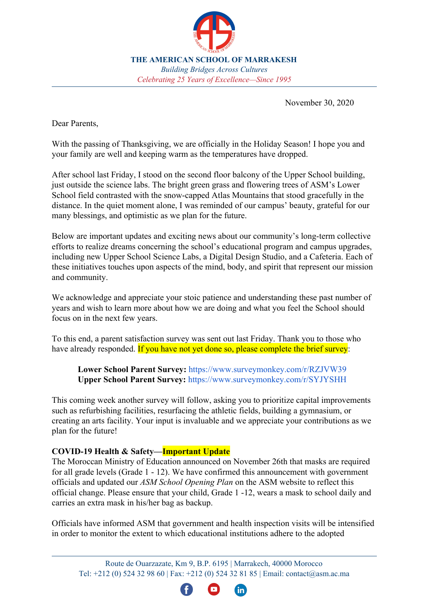preventive measures and will close any public or private educational institution that has been proven by the committee not to comply with these measures.

## **The Diyaa Lagourch Upper School Science Laboratories**

ASM has been working on the complete redesign, reconstruction, and refurbishing of its Upper School Science Laboratories in order for them to be open for use by September 2021.



To view initial sketches of the project, please click: **[Future Visualized](http://asm.ac.ma/future-visualized)**. A 3D rendering is in the works and will be ready for viewing in the coming weeks with a more official announcement.

The laboratories reflect ASM's commitments to the IB Diploma Programme; strategic direction of Science, Technology, Engineering, Arts, and Math (STEAM); and its vision as a school of the future. We anticipate that the new spaces will dramatically improve the study of physical and life sciences, and serve as a significant step towards realizing a modern facility for our students.

The School has plans to name the laboratories after Diyaa Lagourch, a 10th grader who tragically passed away at the start of this academic year. Diyaa loved science and dreamed of studying at Harvard to become a medical doctor.

The current estimated total cost of the furniture, equipment, and construction of the laboratories is approximately 2 million MAD. We have budgeted funds to begin purchasing furniture and equipment immediately for their June arrival. ASM seeks to fundraise 1 million MAD to help defray the costs. Towards this end, the School has already received 100,000 MAD from a generous anonymous donor. If you, too, would like to help realize this dream of the Diyaa Lagourch Science Laboratories for our students by contributing to this transformative learning space, please contact the Head of School Office.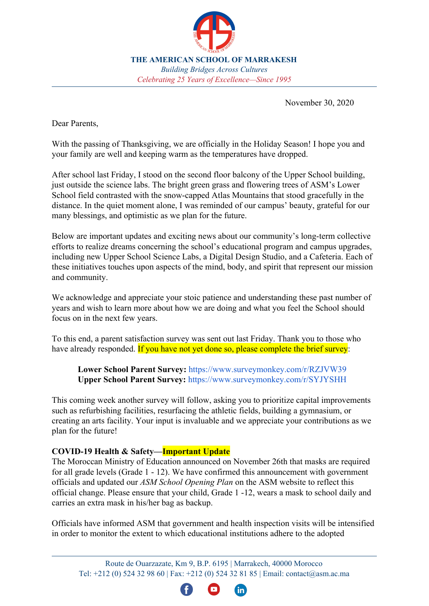

## **Digital Design Studio & Maker Space**

As part of the initiative to enhance ASM's future-focused curriculum and educational programs, the School is currently working on creating a digital design studio to open in the coming months. The vision of the studio is to provide students increased opportunities in creative digital design, video production, and related skills-development that will serve them today and well into the future at college or in a variety of fields.

ASM also has been dialoging with leading universities such as MIT and Columbia University regarding STEAM/Maker Space opportunities at ASM and connecting with the broader region. We are enthused about these talks and look forward to updating you soon!

## **Cafeteria**

It is the holiday season and sometimes miracles do happen!**—**ASM has been busily interviewing a variety of vendors to provide food and beverage services to our community school-wide starting September 2021.

Our most thoughtful and interesting proposal to date is **featured here in this 3D rendering** video and pictures: **[Future Visualized](http://asm.ac.ma/future-visualized)**[.](http://asm.ac.ma/future-visualized.) As you view the images, please note the contiguous red roof and floor lines as they are representative of a book cover!

In the coming survey mentioned above, we anticipate including the vendor's questions related to the food, drinks, and features of the potential service. If all goes well, I will be providing a more detailed presentation to the ASM community during one of the upcoming Coffee Hours.

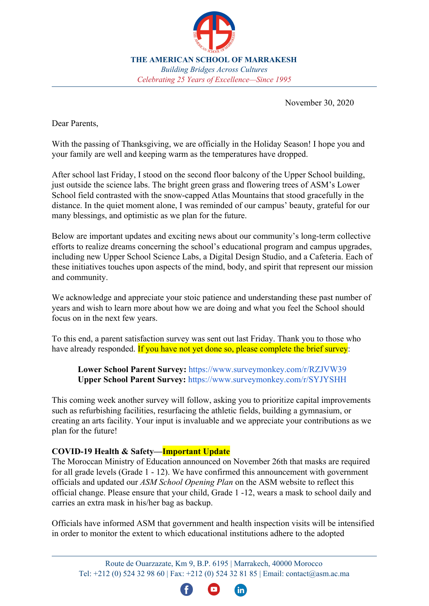### **French & Arabic Language**

We are pleased to announce that French and Arabic language instruction has successfully lifted off the ground beginning in Grades KG1. The class of 2035 will be our first graduating class with this language continuum!

During the week of November 16th, students celebrated Arabic Week, including Moroccan Day. This coming week, ASM will be celebrating Francophone Week, starting December 7th. Please keep posted from your child's respective Division Heads for related announcements and activities.

### **IB Diploma Programme Update**

After beginning its journey just two years ago, ASM is submitting its IBDP Authorization Application tomorrow! Thank you to parents, teachers, staff, and the board for all your support.

ASM would like to recognize and extend a very special thank you to the Bellaouchi family, who underwrote the School's IBDP application and authorization process. The Bellaouchi family's faithful commitment and very generous support through multi-annual gifts totaling USD \$90,000/816,000 MAD, enabled ASM to complete its application for authorization and submit it under a shortened timeline.

Indeed, each day, through the generous support of parents and community members, we are stepping closer towards our goals. We hope to share positive news related to IB in early 2021! To find out more, please join us at our next IB Parent meeting. All are welcome!

Meeting details: Tuesday, December 8, 2020, 5 - 6 p.m.; GMeet link: [meet.google.com/joi-pteh-vbn](http://meet.google.com/joi-pteh-vbn)

### **Parent Coffee Morning—"Futures: Careers & College Counseling"**

Please join us for December's Parent Coffee Morning with the College Counseling Department to learn about the college planning process for our high school students. All are welcome to join! Please send any questions you may have prior to the meeting here: [Coffee](https://docs.google.com/document/d/1TS1vlzkvI8kRl6ujzMC4G90yF5ipGPdvCkRMqVUsRuw/edit?usp=sharing) [Hour Questions](https://docs.google.com/document/d/1TS1vlzkvI8kRl6ujzMC4G90yF5ipGPdvCkRMqVUsRuw/edit?usp=sharing)

Meeting details: Thursday, December 10, 9:30 a.m.; GMeet link: [meet.google.com/quq-fuqk-tuo](http://meet.google.com/quq-fuqk-tuo)

### **ASM PTO**

Our second PTO meeting of the year was held on November 26th in which Ms. Atika El Idrissi was announced as the newly elected PTO Treasurer. We thank everyone for their participation in the election and warmly welcome Ms. El Idrissi to her position!

At the meeting, we discussed a variety of activities that the PTO would like to support in December, including: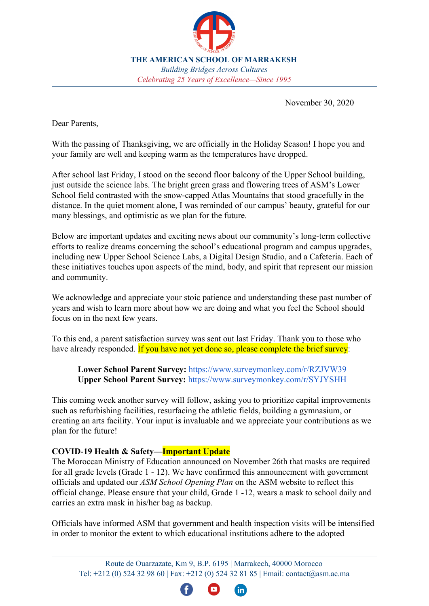

**KGs-G5 (F2F & DL):** 1) Scavenger Hunts (PTO to donate toys). 2) Secret Santa

**MS & HS (F2F & DL):** 1) ASM Holiday Spotify Playlist. Students contribute song names on a Google Doc listing their favorite music and ASM shares via social media. 2) Food/Clothing/Book Drive Competition: The PTO presents the top Elementary, Middle, and High School classes with pizza parties!

**Faculty & Staff:** Secret Angels (ongoing this week--Thank you, parents and PTO!)

**School Reception Area:** Starting December 1st, a Holiday Book Giving Tree will begin to be constructed in the school's reception area, including gifts of classics to each US student! Stay tuned on ASM's website and social media platforms for photos!

**Campus Beautification:** The PTO would like to support the Gardening Club in their effort to help beautify our campus. Keep posted with pictures of their work and "green thumbs"!

If you are interested in joining the PTO fun, please contact ASM PTO President Ms. Priti Paul Kadiri at [pto@asm.ac.ma.](mailto:pto@asm.ac.ma) Information on the PTO's next meeting is below.

Meeting details: Thursday, December 17, 5:30 p.m.; GMeet: [meet.google.com/tfb-suxp-tky](http://meet.google.com/tfb-suxp-tky)

### **High School Semester Exams**

Please note that all High School semester exams (Grades 9 - 12) are scheduled to be taken from home in DL mode, December 14 - 18th. Please mark this on your calendars and look for more details from Ms. Claire Smith, Upper School Division Head.

### **MSA Re-Accreditation Process Update**

MSA has approved ASM's draft timeline for execution of its re-accreditation process as well as our selection of the *Excellence by Design* protocol. In the spring, ASM will be submitting its "Application for Evaluation" and begin introductory meetings. This includes an invitation to all community members to participate as members of the Planning Team. Stay tuned as we move forward.

### **Winter Break**

Mark your calendars! Our Winter Break is from December 19, 2020 to January 3, 2021. Classes resume on Monday, January 4, 2021.

### **Virtual Open House #2**

ASM hosted its first Virtual Open House on Saturday, November 14th from 10 a.m. to 1 p.m. It was a successful event with both Lower School and Upper School divisions participating. We are currently planning for our second Virtual Open House sometime in January. Please stay tuned.

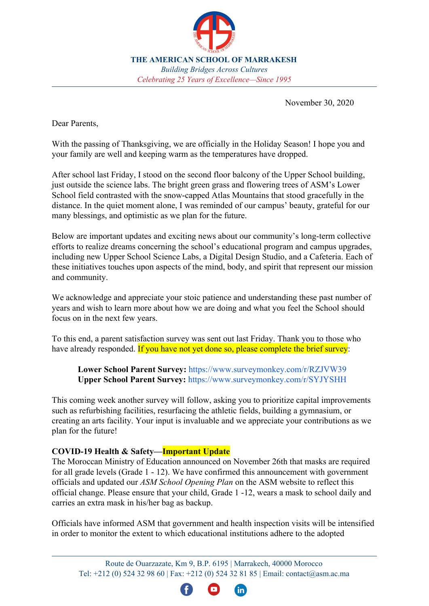### **Stay Up-to-Date**

Keep up to date with the life and times at ASM by following the School's website or Facebook, Instagram, and LinkedIn accounts. Each week of every month we feature different topics, including student interviews about ASM's mission and values, Parent Coffee Hour discussions, and "Career Connections," which are interviews of working professionals to help Upper School students learn about career options.

Again, thank you all for your generous support of the students and School in whatever capacity. As we continue to build ASM as a "School of the Future," your positive energy and contributions in time, talent, and treasure help make dreams come true!

Happy Holidays!

Casey Asato, Ed.D. Head of School ------------------------------

 $X$ <sub>I</sub>NA + 1 and + 1 and + 1 and + 1 and + 1 and + 1 and + 1 and + 1 and + 1 and + 1 and + 1 and + 1 and + 1 and + 1 and + 1 and + 1 and + 1 and + 1 and + 1 and + 1 and + 1 and + 1 and + 1 and + 1 and + 1 and + 1 and + 1 a

Á

30 novembre 2020

Chers parents,

 Avec le passage de Thanksgiving, nous sommes officiellement dans la période des fêtes! J'espère que vous et votre famille allez bien et restez au chaud alors que les températures ont chuté.

 Après l'école vendredi dernier, je me tenais sur le balcon du deuxième étage du bâtiment de l'école supérieure, juste à l'extérieur des laboratoires de sciences. L'herbe verte brillante et les arbres fleuris du champ de l'école primaire de l'ASM contrastaient avec les montagnes enneigées de l'Atlas qui se dressaient gracieusement au loin. Dans le seul moment de calme, je me suis souvenu de la beauté de notre campus, reconnaissant pour nos nombreuses bénédictions et optimiste dans la planification de l'avenir.

 Vous trouverez ci-dessous des mises à jour importantes et des nouvelles passionnantes sur les efforts collectifs à long terme de notre communauté pour réaliser les rêves concernant le programme éducatif de l'école et les mises à niveau du campus, y compris les nouveaux laboratoires scientifiques de l'école supérieure, un studio de conception numérique et une cafétéria. Chacune de ces initiatives touche à des aspects de l'esprit, du corps et de l'esprit qui représentent notre mission et notre communauté.

 Nous reconnaissons et apprécions votre patience stoïque et votre compréhension de ces dernières années et souhaitons en savoir plus sur la façon dont nous faisons et sur ce sur quoi vous pensez que l'École devrait se concentrer au cours des prochaines années.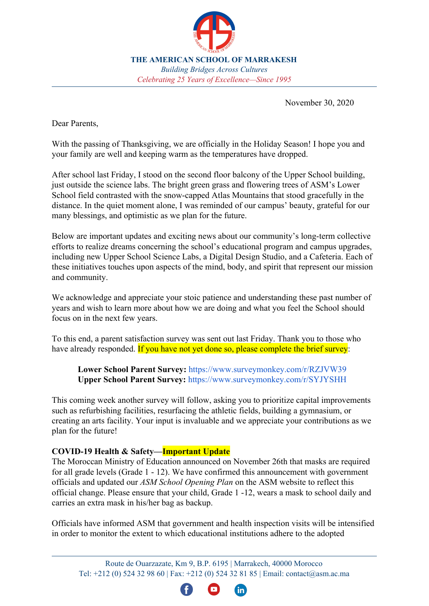

 À cette fin, une enquête de satisfaction des parents a été envoyée vendredi dernier. Merci à ceux qui ont déjà répondu. Si vous ne l'avez pas encore fait, veuillez répondre à la brève enquête:

**Sondage auprès des parents du primaire:** https://www.surveymonkey.com/r/RZJVW39

**Enquête auprès des parents du lycée: https**://www.surveymonkey.com/r/SYJYSHH

 La semaine prochaine, un autre sondage suivra, vous demandant de prioriser les améliorations d'immobilisations telles que la rénovation des installations, le surfaçage des terrains de sport, la construction d'un gymnase ou la création d'une installation artistique. Votre contribution est inestimable et nous apprécions vos contributions alors que nous planifions pour l'avenir!

# **COVID-19 Santé et sécurité - Mise à jour importante**

Le ministère marocain de l'Éducation a annoncé le 26 novembre que les masques sont obligatoires pour tous les niveaux (de la 1ère à la 12e année). Nous avons confirmé cette annonce auprès des représentants du gouvernement et avons mis à jour notre plan d'ouverture de l'école ASM sur le site Web de l'ASM pour refléter ce changement officiel. Veuillez vous assurer que votre enfant, de G1-G12, porte un masque à l'école tous les jours et porte un masque supplémentaire dans son sac comme renfort.

Les responsables ont informé l'ASM que les visites d'inspection du gouvernement et de la santé seront intensifiées afin de contrôler dans quelle mesure les établissements d'enseignement adhèrent aux mesures préventives et fermera tout établissement d'enseignement public ou privé dont le comité aura prouvé qu'il ne se conformait pas à ces mesures.

## **Les laboratoires scientifiques du lycée Diyaa Lagourch**

ASM travaille sur la refonte complète, la reconstruction et la rénovation de ses laboratoires scientifiques de l'école supérieure afin qu'ils soient ouverts à l'utilisation d'ici septembre 2021.

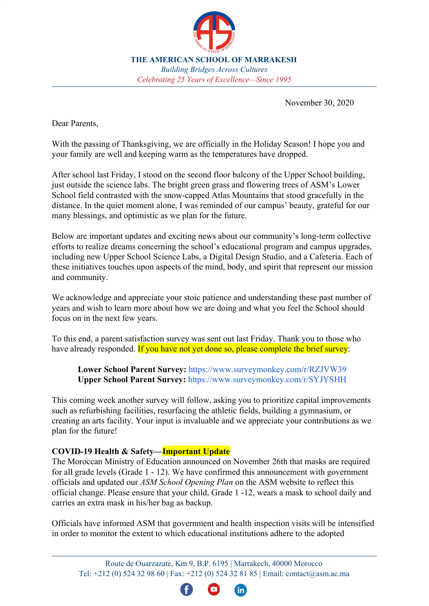

Pour afficher les premières esquisses du projet, veuillez cliquer sur: **Future Visualized**. Un rendu 3D est en préparation et sera prêt à être visionné dans les prochaines semaines avec une annonce plus officielle.

Les laboratoires reflètent les engagements de l'ASM envers le programme du diplôme de l'IB; direction stratégique des sciences, de la technologie, de l'ingénierie, des arts et des mathématiques (STEAM); et sa vision en tant qu'école du futur. Nous prévoyons que les nouveaux espaces amélioreront considérablement l'étude des sciences physiques et de la vie, et constituent une étape importante vers la réalisation d'une installation moderne pour nos étudiants.

 L'école a l'intention de nommer les laboratoires après Diyaa Lagourch, une élève de 10e qui est décédée tragiquement au début de cette année scolaire. Diyaa aimait la science et rêvait d'étudier à Harvard pour devenir médecin.

 Le coût total estimé actuel du mobilier, de l'équipement et de la construction des laboratoires est d'environ 2 millions de dirhams. Nous avons prévu des fonds pour commencer à acheter des meubles et de l'équipement immédiatement pour leur arrivée en juin. ASM cherche à collecter 1 million de MAD pour aider à couvrir les coûts. À cette fin, l'École a déjà reçu 100 000 MAD d'un généreux donateur anonyme. Si vous aussi, vous souhaitez contribuer à la réalisation de ce rêve des laboratoires scientifiques Diyaa Lagourch pour nos étudiants en contribuant à cet espace d'apprentissage transformateur, veuillez contacter le bureau du directeur de l'école.

**Studio de conception numérique et espace de création**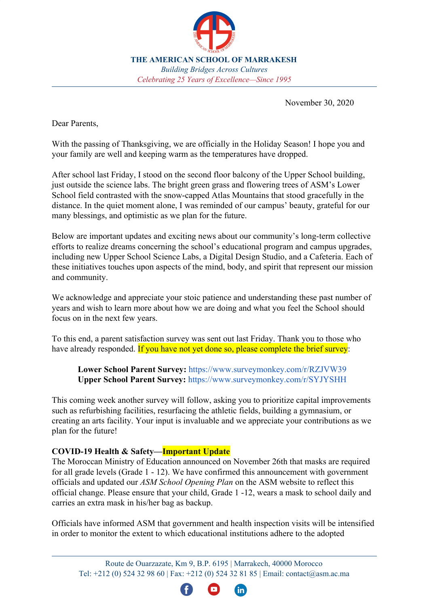

Dans le cadre de l'initiative visant à améliorer le curriculum et les programmes éducatifs d'ASM axés sur l'avenir, l'École travaille actuellement à la création d'un studio de conception numérique qui ouvrira dans les mois à venir. La vision du studio est de fournir aux étudiants des opportunités accrues dans la conception numérique créative, la production vidéo et le développement des compétences connexes qui les serviront aujourd'hui et dans le futur au collège ou dans une variété de domaines.

ASM a également dialogué avec des universités de premier plan telles que le MIT et l'Université de Columbia concernant les opportunités STEAM / Makerspace à ASM et la connexion avec la région au sens large. Nous sommes enthousiasmés par ces discussions et avons hâte de vous mettre à jour bientôt!

## **Cafétéria**

C'est la saison des Fêtes et parfois des miracles se produisent! —ASM interviewe activement divers fournisseurs pour fournir des services de restauration et de boissons à notre école communautaire à partir de septembre 2021.

 Notre proposition la plus réfléchie et la plus intéressante à ce jour est présentée ici dans cette vidéo et images de rendu 3D: **Future Visualized**. En regardant les images, veuillez noter les lignes de toit et de sol rouges contiguës car elles sont représentatives d'une couverture de livre!

 Dans le prochain sondage, nous prévoyons d'inclure les questions du fournisseur liées à la nourriture, aux boissons et aux caractéristiques du service potentiel. Si tout se passe bien, je

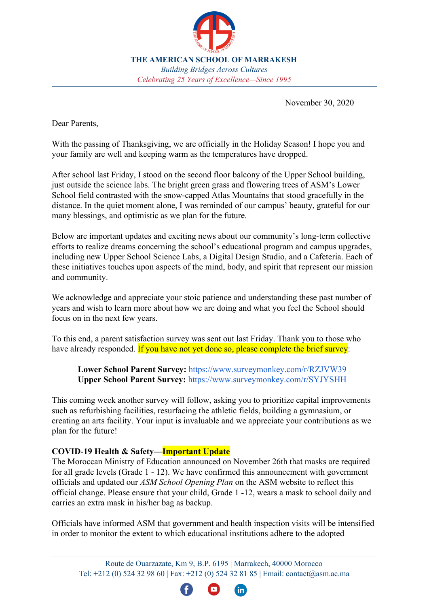fournirai une présentation plus détaillée à la communauté ASM lors de l'une des prochaines Coffee Hours.

## **Langue française et arabe**

Nous sommes heureux d'annoncer que l'enseignement du français et de l'arabe a décollé avec succès à partir des grades KG1. La promotion 2035 sera notre première promotion avec ce continuum linguistique!

Au cours de la semaine du 16 novembre, les étudiants ont célébré la Semaine arabe, y compris la journée du Maroc. La semaine prochaine, l'ASM célébrera la Semaine de la francophonie à partir du 7 décembre. Veuillez vous tenir au courant des chefs de division respectifs de votre enfant pour les annonces et activités connexes.

Mise à jour du programme du diplôme de l'IB

Après avoir commencé son voyage il y a à peine deux ans, ASM soumet demain sa demande d'autorisation IBDP! Merci aux parents, aux enseignants, au personnel et au conseil pour tout votre soutien.

 ASM tient à remercier et à adresser un merci tout spécial à la famille Bellaouchi, qui a souscrit au processus de demande et d'autorisation IBDP de l'école. L'engagement fidèle de la famille Bellaouchi et son soutien très généreux à travers des dons pluriannuels d'un montant total de 90 000 USD / 816 000 MAD ont permis à L'ASM de compléter sa demande d'autorisation et de la soumettre dans un délai raccourci.

 En effet, chaque jour, grâce au généreux soutien des parents et des membres de la communauté, nous nous rapprochons de nos objectifs. Nous espérons partager des nouvelles positives liées à l'IB au début de 2021! Pour en savoir plus, rejoignez-nous à notre prochaine réunion des parents de l'IB. Tout le monde est bienvenu!

Détails de la réunion: mardi 8 décembre 2020, 17 h - 18 h; Lien GMeet: meet.google.com/joi-pteh-vbn

# **Parent Coffee Morning** - «**Futures: Careers & College Counseling**»

Veuillez vous joindre à nous pour la matinée du café des parents de décembre avec le département de conseil du Collège pour en savoir plus sur le processus de planification des collèges pour nos élèves du secondaire. Tout le monde est le bienvenu à se joindre! Veuillez envoyer toutes les questions que vous pourriez avoir avant la réunion ici: Questions sur l'heure du café

Détails de la réunion: jeudi 10 décembre, 9 h 30; Lien GMeet: meet.google.com/quq-fuqk-tuo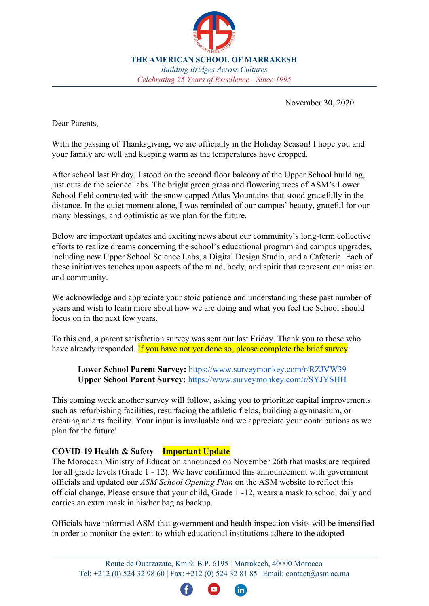

## **Association des Parents et des Professeurs**

Notre deuxième réunion de l'année sur le PTO a eu lieu le 26 novembre au cours de laquelle Mme Atika El Idrissi a été annoncée comme la nouvelle trésorière du PTO. Nous remercions chacun pour sa participation à l'élection et souhaitons la bienvenue à Mme El Idrissi à son poste!

 Lors de la réunion, nous avons discuté de diverses activités que le PTO aimerait soutenir en décembre, notamment:

**KGs-G5 (F2F et DL):** 1) Chasses au trésor (prise de force pour donner des jouets). 2) Père Noël secret

**MS & HS (F2F & DL):** 1) Liste de lecture ASM Holiday Spotify. Les élèves contribuent aux noms de chansons sur un document Google répertoriant leur musique préférée et leurs partages ASM via les réseaux sociaux. 2) Concours Food / Clothing / Book Drive: Le PTO présente les meilleures classes des écoles primaires, intermédiaires et secondaires avec des pizzas!

**Professeurs et personnel**: Secret Angels (en cours cette semaine - Merci, parents et PTO!)

**F fWdhcb de l'école:** à partir du 1er décembre, un arbre de cadeaux des fêtes commencera à être construit dans la zone de réception de l'école, y compris des cadeaux de classiques à chaque étudiant américain! Restez à l'écoute sur le site Web et les plateformes de médias sociaux d'ASM pour prendre des photos!

**Embellissement du campus**: Le PTO souhaite soutenir le club de jardinage dans ses efforts pour aider à embellir notre campus. Restez au courant avec des photos de leur travail et des «pouces verts»!

 Si vous souhaitez vous joindre à l'amusement PTO, veuillez contacter la présidente de l'ASM PTO, Mme Priti Paul Kadiri, à pto@asm.ac.ma. Vous trouverez ci-dessous des informations sur la prochaine réunion du PTO.

Détails de la réunion: jeudi 17 décembre, 17 h 30; GMeet: meet.google.com/tfb-suxp-tky

## **Examens semestriels du secondaire**

Veuillez noter que tous les examens du semestre du secondaire (de la 9e à la 12e année) doivent être passés de la maison en mode DL, du 14 au 18 décembre. Veuillez marquer ceci sur vos calendriers et chercher plus de détails auprès de Mme Claire Smith, chef de la division de l'école supérieure.